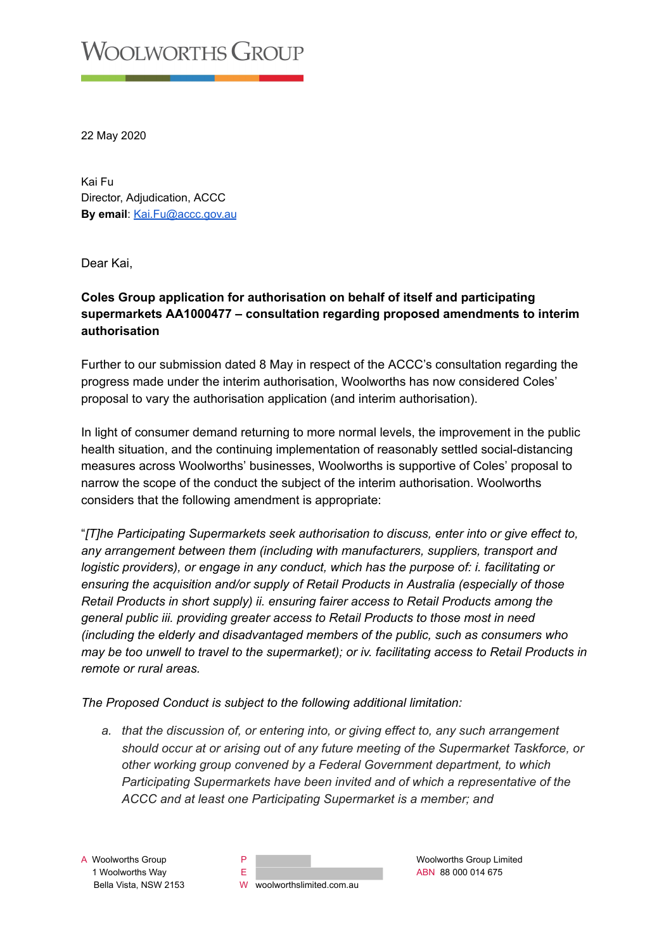## **VOOLWORTHS GROUP**

22 May 2020

Kai Fu Director, Adjudication, ACCC **By email: [Kai.Fu@accc.gov.au](mailto:Kai.Fu@accc.gov.au)** 

Dear Kai,

## **Coles Group application for authorisation on behalf of itself and participating supermarkets AA1000477 – consultation regarding proposed amendments to interim authorisation**

Further to our submission dated 8 May in respect of the ACCC's consultation regarding the progress made under the interim authorisation, Woolworths has now considered Coles' proposal to vary the authorisation application (and interim authorisation).

In light of consumer demand returning to more normal levels, the improvement in the public health situation, and the continuing implementation of reasonably settled social-distancing measures across Woolworths' businesses, Woolworths is supportive of Coles' proposal to narrow the scope of the conduct the subject of the interim authorisation. Woolworths considers that the following amendment is appropriate:

" *[T]he Participating Supermarkets seek authorisation to discuss, enter into or give effect to, any arrangement between them (including with manufacturers, suppliers, transport and logistic providers), or engage in any conduct, which has the purpose of: i. facilitating or ensuring the acquisition and/or supply of Retail Products in Australia (especially of those Retail Products in short supply) ii. ensuring fairer access to Retail Products among the general public iii. providing greater access to Retail Products to those most in need (including the elderly and disadvantaged members of the public, such as consumers who may be too unwell to travel to the supermarket); or iv. facilitating access to Retail Products in remote or rural areas.* 

*The Proposed Conduct is subject to the following additional limitation:* 

*a. that the discussion of, or entering into, or giving effect to, any such arrangement should occur at or arising out of any future meeting of the Supermarket Taskforce, or other working group convened by a Federal Government department, to which Participating Supermarkets have been invited and of which a representative of the ACCC and at least one Participating Supermarket is a member; and* 

A Woolworths Group **P** P **P P** Woolworths Group Limited **P** Woolworths Group Limited 1 Woolworths Way E ABN 88 000 014 675 Bella Vista, NSW 2153 W woolworthslimited.com.au